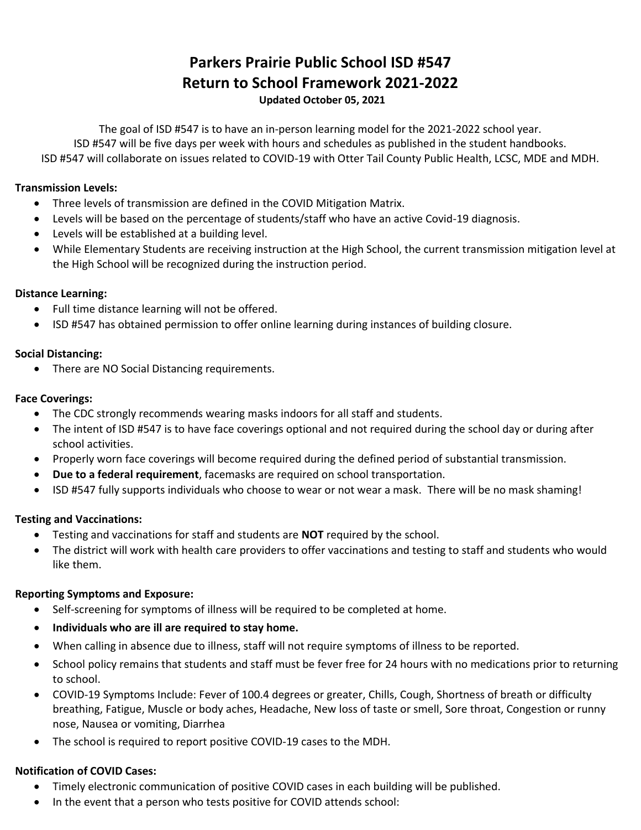# **Parkers Prairie Public School ISD #547 Return to School Framework 2021-2022 Updated October 05, 2021**

The goal of ISD #547 is to have an in-person learning model for the 2021-2022 school year. ISD #547 will be five days per week with hours and schedules as published in the student handbooks. ISD #547 will collaborate on issues related to COVID-19 with Otter Tail County Public Health, LCSC, MDE and MDH.

### **Transmission Levels:**

- Three levels of transmission are defined in the COVID Mitigation Matrix.
- Levels will be based on the percentage of students/staff who have an active Covid-19 diagnosis.
- Levels will be established at a building level.
- While Elementary Students are receiving instruction at the High School, the current transmission mitigation level at the High School will be recognized during the instruction period.

#### **Distance Learning:**

- Full time distance learning will not be offered.
- ISD #547 has obtained permission to offer online learning during instances of building closure.

#### **Social Distancing:**

• There are NO Social Distancing requirements.

#### **Face Coverings:**

- The CDC strongly recommends wearing masks indoors for all staff and students.
- The intent of ISD #547 is to have face coverings optional and not required during the school day or during after school activities.
- Properly worn face coverings will become required during the defined period of substantial transmission.
- **Due to a federal requirement**, facemasks are required on school transportation.
- ISD #547 fully supports individuals who choose to wear or not wear a mask. There will be no mask shaming!

#### **Testing and Vaccinations:**

- Testing and vaccinations for staff and students are **NOT** required by the school.
- The district will work with health care providers to offer vaccinations and testing to staff and students who would like them.

#### **Reporting Symptoms and Exposure:**

- Self-screening for symptoms of illness will be required to be completed at home.
- **Individuals who are ill are required to stay home.**
- When calling in absence due to illness, staff will not require symptoms of illness to be reported.
- School policy remains that students and staff must be fever free for 24 hours with no medications prior to returning to school.
- COVID-19 Symptoms Include: Fever of 100.4 degrees or greater, Chills, Cough, Shortness of breath or difficulty breathing, Fatigue, Muscle or body aches, Headache, New loss of taste or smell, Sore throat, Congestion or runny nose, Nausea or vomiting, Diarrhea
- The school is required to report positive COVID-19 cases to the MDH.

#### **Notification of COVID Cases:**

- Timely electronic communication of positive COVID cases in each building will be published.
- In the event that a person who tests positive for COVID attends school: